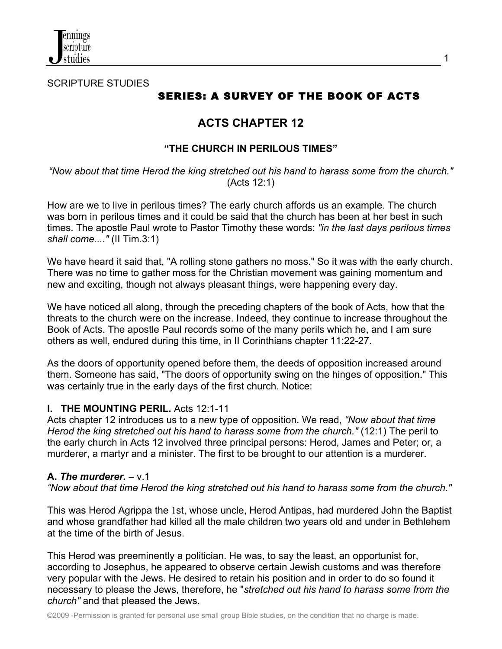

SCRIPTURE STUDIES

# SERIES: A SURVEY OF THE BOOK OF ACTS

# **ACTS CHAPTER 12**

# **"THE CHURCH IN PERILOUS TIMES"**

*"Now about that time Herod the king stretched out his hand to harass some from the church."* (Acts 12:1)

How are we to live in perilous times? The early church affords us an example. The church was born in perilous times and it could be said that the church has been at her best in such times. The apostle Paul wrote to Pastor Timothy these words: *"in the last days perilous times shall come...."* (II Tim.3:1)

We have heard it said that, "A rolling stone gathers no moss." So it was with the early church. There was no time to gather moss for the Christian movement was gaining momentum and new and exciting, though not always pleasant things, were happening every day.

We have noticed all along, through the preceding chapters of the book of Acts, how that the threats to the church were on the increase. Indeed, they continue to increase throughout the Book of Acts. The apostle Paul records some of the many perils which he, and I am sure others as well, endured during this time, in II Corinthians chapter 11:22-27.

As the doors of opportunity opened before them, the deeds of opposition increased around them. Someone has said, "The doors of opportunity swing on the hinges of opposition." This was certainly true in the early days of the first church. Notice:

### **I. THE MOUNTING PERIL.** Acts 12:1-11

Acts chapter 12 introduces us to a new type of opposition. We read, *"Now about that time Herod the king stretched out his hand to harass some from the church."* (12:1) The peril to the early church in Acts 12 involved three principal persons: Herod, James and Peter; or, a murderer, a martyr and a minister. The first to be brought to our attention is a murderer.

### **A.** *The murderer.* – v.1

*"Now about that time Herod the king stretched out his hand to harass some from the church."*

This was Herod Agrippa the 1st, whose uncle, Herod Antipas, had murdered John the Baptist and whose grandfather had killed all the male children two years old and under in Bethlehem at the time of the birth of Jesus.

This Herod was preeminently a politician. He was, to say the least, an opportunist for, according to Josephus, he appeared to observe certain Jewish customs and was therefore very popular with the Jews. He desired to retain his position and in order to do so found it necessary to please the Jews, therefore, he "*stretched out his hand to harass some from the church"* and that pleased the Jews.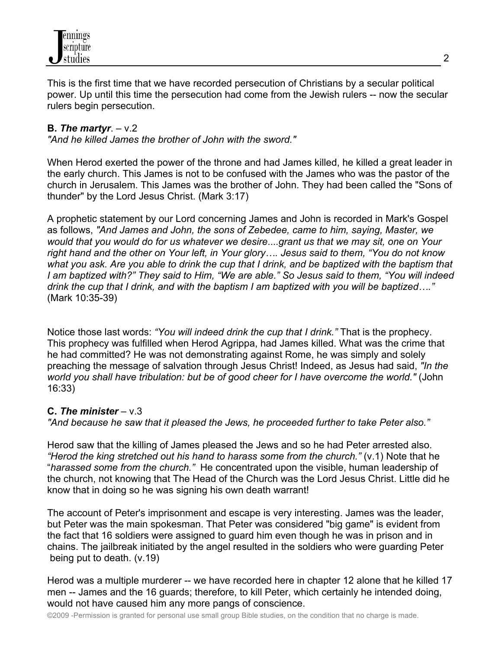

This is the first time that we have recorded persecution of Christians by a secular political power. Up until this time the persecution had come from the Jewish rulers -- now the secular rulers begin persecution.

### **B.** *The martyr*. – v.2

*"And he killed James the brother of John with the sword."*

When Herod exerted the power of the throne and had James killed, he killed a great leader in the early church. This James is not to be confused with the James who was the pastor of the church in Jerusalem. This James was the brother of John. They had been called the "Sons of thunder" by the Lord Jesus Christ. (Mark 3:17)

A prophetic statement by our Lord concerning James and John is recorded in Mark's Gospel as follows, *"And James and John, the sons of Zebedee, came to him, saying, Master, we would that you would do for us whatever we desire*....*grant us that we may sit, one on Your right hand and the other on Your left, in Your glory…. Jesus said to them, "You do not know what you ask. Are you able to drink the cup that I drink, and be baptized with the baptism that I am baptized with?" They said to Him, "We are able." So Jesus said to them, "You will indeed drink the cup that I drink, and with the baptism I am baptized with you will be baptized…."*  (Mark 10:35-39)

Notice those last words: *"You will indeed drink the cup that I drink."* That is the prophecy. This prophecy was fulfilled when Herod Agrippa, had James killed. What was the crime that he had committed? He was not demonstrating against Rome, he was simply and solely preaching the message of salvation through Jesus Christ! Indeed, as Jesus had said, *"In the world you shall have tribulation: but be of good cheer for I have overcome the world."* (John 16:33)

### **C.** *The minister* – v.3

*"And because he saw that it pleased the Jews, he proceeded further to take Peter also."*

Herod saw that the killing of James pleased the Jews and so he had Peter arrested also. *"Herod the king stretched out his hand to harass some from the church."* (v.1) Note that he "*harassed some from the church."* He concentrated upon the visible, human leadership of the church, not knowing that The Head of the Church was the Lord Jesus Christ. Little did he know that in doing so he was signing his own death warrant!

The account of Peter's imprisonment and escape is very interesting. James was the leader, but Peter was the main spokesman. That Peter was considered "big game" is evident from the fact that 16 soldiers were assigned to guard him even though he was in prison and in chains. The jailbreak initiated by the angel resulted in the soldiers who were guarding Peter being put to death. (v.19)

Herod was a multiple murderer -- we have recorded here in chapter 12 alone that he killed 17 men -- James and the 16 guards; therefore, to kill Peter, which certainly he intended doing, would not have caused him any more pangs of conscience.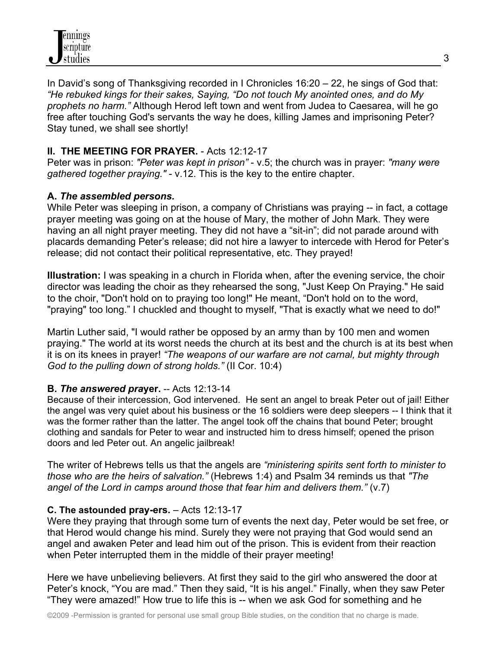In David's song of Thanksgiving recorded in I Chronicles 16:20 – 22, he sings of God that: *"He rebuked kings for their sakes, Saying, "Do not touch My anointed ones, and do My prophets no harm."* Although Herod left town and went from Judea to Caesarea, will he go free after touching God's servants the way he does, killing James and imprisoning Peter? Stay tuned, we shall see shortly!

# **II. THE MEETING FOR PRAYER.** - Acts 12:12-17

Peter was in prison: *"Peter was kept in prison"* - v.5; the church was in prayer: *"many were gathered together praying."* - v.12. This is the key to the entire chapter.

# **A.** *The assembled persons.*

While Peter was sleeping in prison, a company of Christians was praying -- in fact, a cottage prayer meeting was going on at the house of Mary, the mother of John Mark. They were having an all night prayer meeting. They did not have a "sit-in"; did not parade around with placards demanding Peter's release; did not hire a lawyer to intercede with Herod for Peter's release; did not contact their political representative, etc. They prayed!

**Illustration:** I was speaking in a church in Florida when, after the evening service, the choir director was leading the choir as they rehearsed the song, "Just Keep On Praying." He said to the choir, "Don't hold on to praying too long!" He meant, "Don't hold on to the word, "praying" too long." I chuckled and thought to myself, "That is exactly what we need to do!"

Martin Luther said, "I would rather be opposed by an army than by 100 men and women praying." The world at its worst needs the church at its best and the church is at its best when it is on its knees in prayer! *"The weapons of our warfare are not carnal, but mighty through God to the pulling down of strong holds."* (II Cor. 10:4)

# **B.** *The answered pra***yer.** -- Acts 12:13-14

Because of their intercession, God intervened. He sent an angel to break Peter out of jail! Either the angel was very quiet about his business or the 16 soldiers were deep sleepers -- I think that it was the former rather than the latter. The angel took off the chains that bound Peter; brought clothing and sandals for Peter to wear and instructed him to dress himself; opened the prison doors and led Peter out. An angelic jailbreak!

The writer of Hebrews tells us that the angels are *"ministering spirits sent forth to minister to those who are the heirs of salvation."* (Hebrews 1:4) and Psalm 34 reminds us that *"The angel of the Lord in camps around those that fear him and delivers them."* (v.7)

# **C. The astounded pray-ers.** – Acts 12:13-17

Were they praying that through some turn of events the next day, Peter would be set free, or that Herod would change his mind. Surely they were not praying that God would send an angel and awaken Peter and lead him out of the prison. This is evident from their reaction when Peter interrupted them in the middle of their prayer meeting!

Here we have unbelieving believers. At first they said to the girl who answered the door at Peter's knock, "You are mad." Then they said, "It is his angel." Finally, when they saw Peter "They were amazed!" How true to life this is -- when we ask God for something and he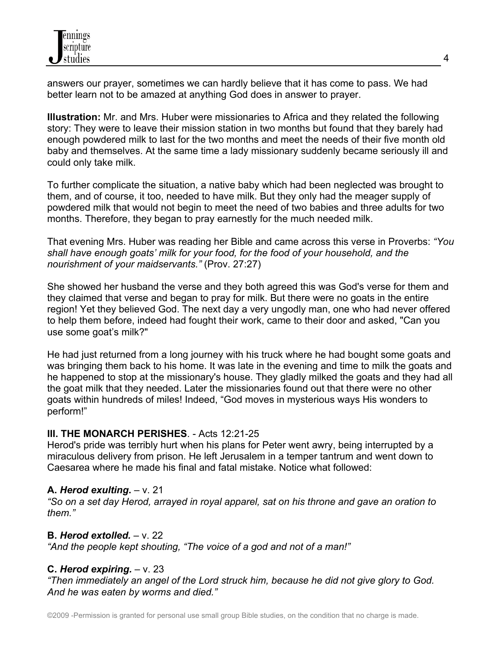answers our prayer, sometimes we can hardly believe that it has come to pass. We had better learn not to be amazed at anything God does in answer to prayer.

**Illustration:** Mr. and Mrs. Huber were missionaries to Africa and they related the following story: They were to leave their mission station in two months but found that they barely had enough powdered milk to last for the two months and meet the needs of their five month old baby and themselves. At the same time a lady missionary suddenly became seriously ill and could only take milk.

To further complicate the situation, a native baby which had been neglected was brought to them, and of course, it too, needed to have milk. But they only had the meager supply of powdered milk that would not begin to meet the need of two babies and three adults for two months. Therefore, they began to pray earnestly for the much needed milk.

That evening Mrs. Huber was reading her Bible and came across this verse in Proverbs: *"You shall have enough goats' milk for your food, for the food of your household, and the nourishment of your maidservants."* (Prov. 27:27)

She showed her husband the verse and they both agreed this was God's verse for them and they claimed that verse and began to pray for milk. But there were no goats in the entire region! Yet they believed God. The next day a very ungodly man, one who had never offered to help them before, indeed had fought their work, came to their door and asked, "Can you use some goat's milk?"

He had just returned from a long journey with his truck where he had bought some goats and was bringing them back to his home. It was late in the evening and time to milk the goats and he happened to stop at the missionary's house. They gladly milked the goats and they had all the goat milk that they needed. Later the missionaries found out that there were no other goats within hundreds of miles! Indeed, "God moves in mysterious ways His wonders to perform!"

# **III. THE MONARCH PERISHES**. - Acts 12:21-25

Herod's pride was terribly hurt when his plans for Peter went awry, being interrupted by a miraculous delivery from prison. He left Jerusalem in a temper tantrum and went down to Caesarea where he made his final and fatal mistake. Notice what followed:

# **A.** *Herod exulting***.** – v. 21

*"So on a set day Herod, arrayed in royal apparel, sat on his throne and gave an oration to them."*

# **B.** Herod extolled.  $-\vee$ . 22

*"And the people kept shouting, "The voice of a god and not of a man!"*

# **C.** *Herod expiring.* – v. 23

*"Then immediately an angel of the Lord struck him, because he did not give glory to God. And he was eaten by worms and died."*